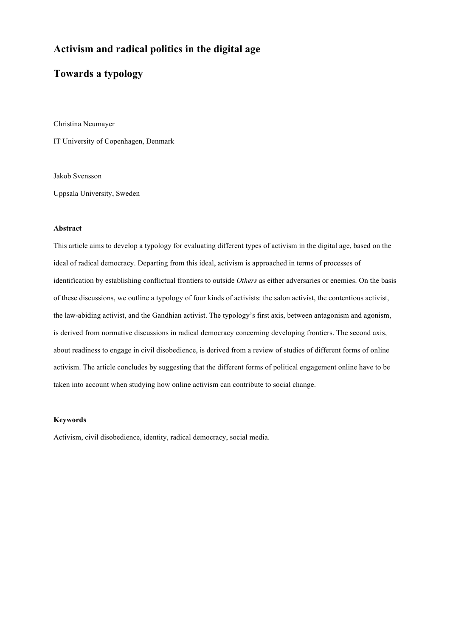# **Activism and radical politics in the digital age**

# **Towards a typology**

Christina Neumayer

IT University of Copenhagen, Denmark

Jakob Svensson

Uppsala University, Sweden

### **Abstract**

This article aims to develop a typology for evaluating different types of activism in the digital age, based on the ideal of radical democracy. Departing from this ideal, activism is approached in terms of processes of identification by establishing conflictual frontiers to outside *Others* as either adversaries or enemies. On the basis of these discussions, we outline a typology of four kinds of activists: the salon activist, the contentious activist, the law-abiding activist, and the Gandhian activist. The typology's first axis, between antagonism and agonism, is derived from normative discussions in radical democracy concerning developing frontiers. The second axis, about readiness to engage in civil disobedience, is derived from a review of studies of different forms of online activism. The article concludes by suggesting that the different forms of political engagement online have to be taken into account when studying how online activism can contribute to social change.

# **Keywords**

Activism, civil disobedience, identity, radical democracy, social media.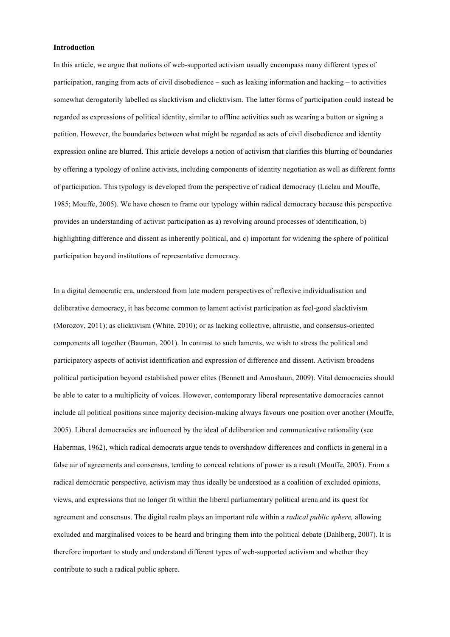#### **Introduction**

In this article, we argue that notions of web-supported activism usually encompass many different types of participation, ranging from acts of civil disobedience – such as leaking information and hacking – to activities somewhat derogatorily labelled as slacktivism and clicktivism. The latter forms of participation could instead be regarded as expressions of political identity, similar to offline activities such as wearing a button or signing a petition. However, the boundaries between what might be regarded as acts of civil disobedience and identity expression online are blurred. This article develops a notion of activism that clarifies this blurring of boundaries by offering a typology of online activists, including components of identity negotiation as well as different forms of participation. This typology is developed from the perspective of radical democracy (Laclau and Mouffe, 1985; Mouffe, 2005). We have chosen to frame our typology within radical democracy because this perspective provides an understanding of activist participation as a) revolving around processes of identification, b) highlighting difference and dissent as inherently political, and c) important for widening the sphere of political participation beyond institutions of representative democracy.

In a digital democratic era, understood from late modern perspectives of reflexive individualisation and deliberative democracy, it has become common to lament activist participation as feel-good slacktivism (Morozov, 2011); as clicktivism (White, 2010); or as lacking collective, altruistic, and consensus-oriented components all together (Bauman, 2001). In contrast to such laments, we wish to stress the political and participatory aspects of activist identification and expression of difference and dissent. Activism broadens political participation beyond established power elites (Bennett and Amoshaun, 2009). Vital democracies should be able to cater to a multiplicity of voices. However, contemporary liberal representative democracies cannot include all political positions since majority decision-making always favours one position over another (Mouffe, 2005). Liberal democracies are influenced by the ideal of deliberation and communicative rationality (see Habermas, 1962), which radical democrats argue tends to overshadow differences and conflicts in general in a false air of agreements and consensus, tending to conceal relations of power as a result (Mouffe, 2005). From a radical democratic perspective, activism may thus ideally be understood as a coalition of excluded opinions, views, and expressions that no longer fit within the liberal parliamentary political arena and its quest for agreement and consensus. The digital realm plays an important role within a *radical public sphere,* allowing excluded and marginalised voices to be heard and bringing them into the political debate (Dahlberg, 2007). It is therefore important to study and understand different types of web-supported activism and whether they contribute to such a radical public sphere.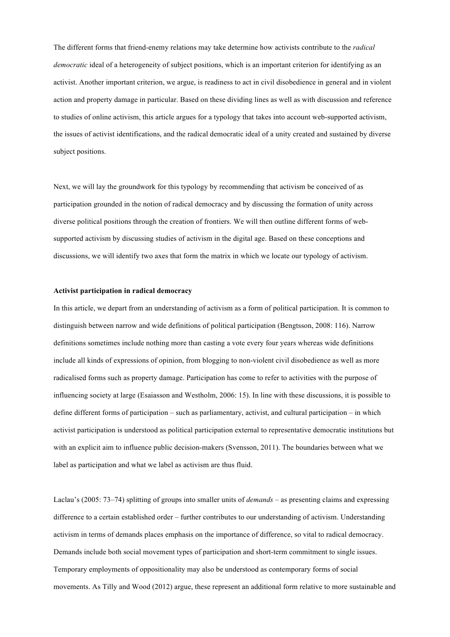The different forms that friend-enemy relations may take determine how activists contribute to the *radical democratic* ideal of a heterogeneity of subject positions, which is an important criterion for identifying as an activist. Another important criterion, we argue, is readiness to act in civil disobedience in general and in violent action and property damage in particular. Based on these dividing lines as well as with discussion and reference to studies of online activism, this article argues for a typology that takes into account web-supported activism, the issues of activist identifications, and the radical democratic ideal of a unity created and sustained by diverse subject positions.

Next, we will lay the groundwork for this typology by recommending that activism be conceived of as participation grounded in the notion of radical democracy and by discussing the formation of unity across diverse political positions through the creation of frontiers. We will then outline different forms of websupported activism by discussing studies of activism in the digital age. Based on these conceptions and discussions, we will identify two axes that form the matrix in which we locate our typology of activism.

#### **Activist participation in radical democracy**

In this article, we depart from an understanding of activism as a form of political participation. It is common to distinguish between narrow and wide definitions of political participation (Bengtsson, 2008: 116). Narrow definitions sometimes include nothing more than casting a vote every four years whereas wide definitions include all kinds of expressions of opinion, from blogging to non-violent civil disobedience as well as more radicalised forms such as property damage. Participation has come to refer to activities with the purpose of influencing society at large (Esaiasson and Westholm, 2006: 15). In line with these discussions, it is possible to define different forms of participation – such as parliamentary, activist, and cultural participation – in which activist participation is understood as political participation external to representative democratic institutions but with an explicit aim to influence public decision-makers (Svensson, 2011). The boundaries between what we label as participation and what we label as activism are thus fluid.

Laclau's (2005: 73–74) splitting of groups into smaller units of *demands* – as presenting claims and expressing difference to a certain established order – further contributes to our understanding of activism. Understanding activism in terms of demands places emphasis on the importance of difference, so vital to radical democracy. Demands include both social movement types of participation and short-term commitment to single issues. Temporary employments of oppositionality may also be understood as contemporary forms of social movements. As Tilly and Wood (2012) argue, these represent an additional form relative to more sustainable and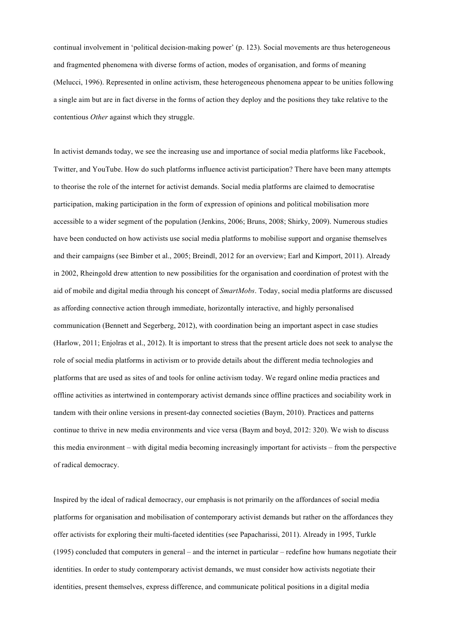continual involvement in 'political decision-making power' (p. 123). Social movements are thus heterogeneous and fragmented phenomena with diverse forms of action, modes of organisation, and forms of meaning (Melucci, 1996). Represented in online activism, these heterogeneous phenomena appear to be unities following a single aim but are in fact diverse in the forms of action they deploy and the positions they take relative to the contentious *Other* against which they struggle.

In activist demands today, we see the increasing use and importance of social media platforms like Facebook, Twitter, and YouTube. How do such platforms influence activist participation? There have been many attempts to theorise the role of the internet for activist demands. Social media platforms are claimed to democratise participation, making participation in the form of expression of opinions and political mobilisation more accessible to a wider segment of the population (Jenkins, 2006; Bruns, 2008; Shirky, 2009). Numerous studies have been conducted on how activists use social media platforms to mobilise support and organise themselves and their campaigns (see Bimber et al., 2005; Breindl, 2012 for an overview; Earl and Kimport, 2011). Already in 2002, Rheingold drew attention to new possibilities for the organisation and coordination of protest with the aid of mobile and digital media through his concept of *SmartMobs*. Today, social media platforms are discussed as affording connective action through immediate, horizontally interactive, and highly personalised communication (Bennett and Segerberg, 2012), with coordination being an important aspect in case studies (Harlow, 2011; Enjolras et al., 2012). It is important to stress that the present article does not seek to analyse the role of social media platforms in activism or to provide details about the different media technologies and platforms that are used as sites of and tools for online activism today. We regard online media practices and offline activities as intertwined in contemporary activist demands since offline practices and sociability work in tandem with their online versions in present-day connected societies (Baym, 2010). Practices and patterns continue to thrive in new media environments and vice versa (Baym and boyd, 2012: 320). We wish to discuss this media environment – with digital media becoming increasingly important for activists – from the perspective of radical democracy.

Inspired by the ideal of radical democracy, our emphasis is not primarily on the affordances of social media platforms for organisation and mobilisation of contemporary activist demands but rather on the affordances they offer activists for exploring their multi-faceted identities (see Papacharissi, 2011). Already in 1995, Turkle (1995) concluded that computers in general – and the internet in particular – redefine how humans negotiate their identities. In order to study contemporary activist demands, we must consider how activists negotiate their identities, present themselves, express difference, and communicate political positions in a digital media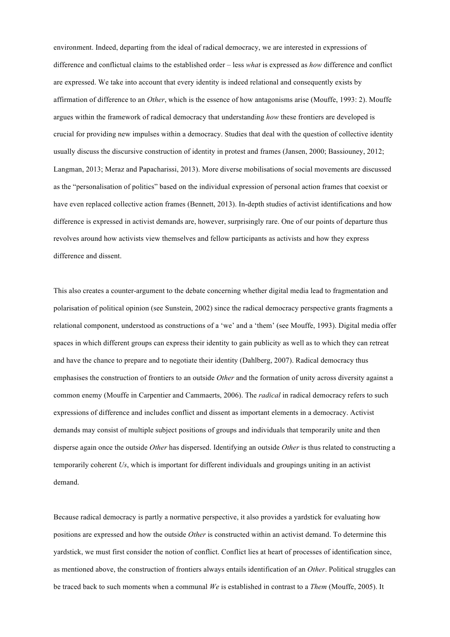environment. Indeed, departing from the ideal of radical democracy, we are interested in expressions of difference and conflictual claims to the established order – less *what* is expressed as *how* difference and conflict are expressed. We take into account that every identity is indeed relational and consequently exists by affirmation of difference to an *Other*, which is the essence of how antagonisms arise (Mouffe, 1993: 2). Mouffe argues within the framework of radical democracy that understanding *how* these frontiers are developed is crucial for providing new impulses within a democracy. Studies that deal with the question of collective identity usually discuss the discursive construction of identity in protest and frames (Jansen, 2000; Bassiouney, 2012; Langman, 2013; Meraz and Papacharissi, 2013). More diverse mobilisations of social movements are discussed as the "personalisation of politics" based on the individual expression of personal action frames that coexist or have even replaced collective action frames (Bennett, 2013). In-depth studies of activist identifications and how difference is expressed in activist demands are, however, surprisingly rare. One of our points of departure thus revolves around how activists view themselves and fellow participants as activists and how they express difference and dissent.

This also creates a counter-argument to the debate concerning whether digital media lead to fragmentation and polarisation of political opinion (see Sunstein, 2002) since the radical democracy perspective grants fragments a relational component, understood as constructions of a 'we' and a 'them' (see Mouffe, 1993). Digital media offer spaces in which different groups can express their identity to gain publicity as well as to which they can retreat and have the chance to prepare and to negotiate their identity (Dahlberg, 2007). Radical democracy thus emphasises the construction of frontiers to an outside *Other* and the formation of unity across diversity against a common enemy (Mouffe in Carpentier and Cammaerts, 2006). The *radical* in radical democracy refers to such expressions of difference and includes conflict and dissent as important elements in a democracy. Activist demands may consist of multiple subject positions of groups and individuals that temporarily unite and then disperse again once the outside *Other* has dispersed. Identifying an outside *Other* is thus related to constructing a temporarily coherent *Us*, which is important for different individuals and groupings uniting in an activist demand.

Because radical democracy is partly a normative perspective, it also provides a yardstick for evaluating how positions are expressed and how the outside *Other* is constructed within an activist demand. To determine this yardstick, we must first consider the notion of conflict. Conflict lies at heart of processes of identification since, as mentioned above, the construction of frontiers always entails identification of an *Other*. Political struggles can be traced back to such moments when a communal *We* is established in contrast to a *Them* (Mouffe, 2005). It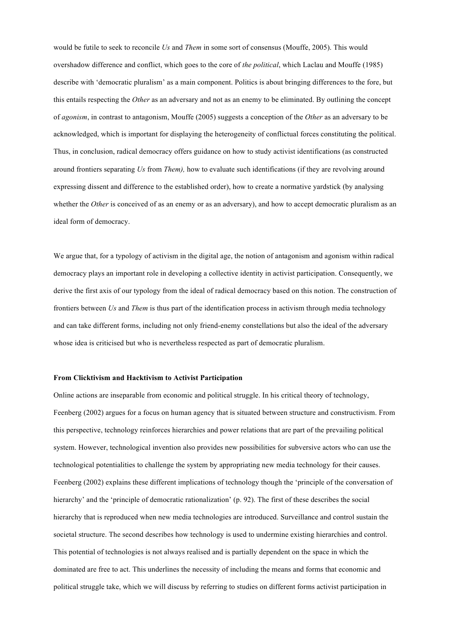would be futile to seek to reconcile *Us* and *Them* in some sort of consensus (Mouffe, 2005). This would overshadow difference and conflict, which goes to the core of *the political*, which Laclau and Mouffe (1985) describe with 'democratic pluralism' as a main component. Politics is about bringing differences to the fore, but this entails respecting the *Other* as an adversary and not as an enemy to be eliminated. By outlining the concept of *agonism*, in contrast to antagonism, Mouffe (2005) suggests a conception of the *Other* as an adversary to be acknowledged, which is important for displaying the heterogeneity of conflictual forces constituting the political. Thus, in conclusion, radical democracy offers guidance on how to study activist identifications (as constructed around frontiers separating *Us* from *Them),* how to evaluate such identifications (if they are revolving around expressing dissent and difference to the established order), how to create a normative yardstick (by analysing whether the *Other* is conceived of as an enemy or as an adversary), and how to accept democratic pluralism as an ideal form of democracy.

We argue that, for a typology of activism in the digital age, the notion of antagonism and agonism within radical democracy plays an important role in developing a collective identity in activist participation. Consequently, we derive the first axis of our typology from the ideal of radical democracy based on this notion. The construction of frontiers between *Us* and *Them* is thus part of the identification process in activism through media technology and can take different forms, including not only friend-enemy constellations but also the ideal of the adversary whose idea is criticised but who is nevertheless respected as part of democratic pluralism.

### **From Clicktivism and Hacktivism to Activist Participation**

Online actions are inseparable from economic and political struggle. In his critical theory of technology, Feenberg (2002) argues for a focus on human agency that is situated between structure and constructivism. From this perspective, technology reinforces hierarchies and power relations that are part of the prevailing political system. However, technological invention also provides new possibilities for subversive actors who can use the technological potentialities to challenge the system by appropriating new media technology for their causes. Feenberg (2002) explains these different implications of technology though the 'principle of the conversation of hierarchy' and the 'principle of democratic rationalization' (p. 92). The first of these describes the social hierarchy that is reproduced when new media technologies are introduced. Surveillance and control sustain the societal structure. The second describes how technology is used to undermine existing hierarchies and control. This potential of technologies is not always realised and is partially dependent on the space in which the dominated are free to act. This underlines the necessity of including the means and forms that economic and political struggle take, which we will discuss by referring to studies on different forms activist participation in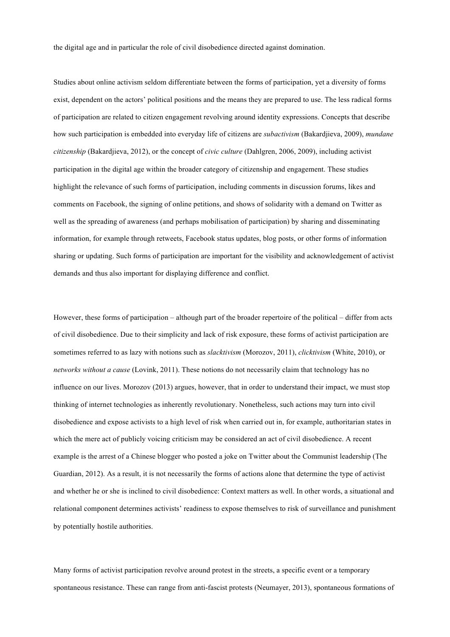the digital age and in particular the role of civil disobedience directed against domination.

Studies about online activism seldom differentiate between the forms of participation, yet a diversity of forms exist, dependent on the actors' political positions and the means they are prepared to use. The less radical forms of participation are related to citizen engagement revolving around identity expressions. Concepts that describe how such participation is embedded into everyday life of citizens are *subactivism* (Bakardjieva, 2009), *mundane citizenship* (Bakardjieva, 2012), or the concept of *civic culture* (Dahlgren, 2006, 2009), including activist participation in the digital age within the broader category of citizenship and engagement. These studies highlight the relevance of such forms of participation, including comments in discussion forums, likes and comments on Facebook, the signing of online petitions, and shows of solidarity with a demand on Twitter as well as the spreading of awareness (and perhaps mobilisation of participation) by sharing and disseminating information, for example through retweets, Facebook status updates, blog posts, or other forms of information sharing or updating. Such forms of participation are important for the visibility and acknowledgement of activist demands and thus also important for displaying difference and conflict.

However, these forms of participation – although part of the broader repertoire of the political – differ from acts of civil disobedience. Due to their simplicity and lack of risk exposure, these forms of activist participation are sometimes referred to as lazy with notions such as *slacktivism* (Morozov, 2011), *clicktivism* (White, 2010), or *networks without a cause* (Lovink, 2011). These notions do not necessarily claim that technology has no influence on our lives. Morozov (2013) argues, however, that in order to understand their impact, we must stop thinking of internet technologies as inherently revolutionary. Nonetheless, such actions may turn into civil disobedience and expose activists to a high level of risk when carried out in, for example, authoritarian states in which the mere act of publicly voicing criticism may be considered an act of civil disobedience. A recent example is the arrest of a Chinese blogger who posted a joke on Twitter about the Communist leadership (The Guardian, 2012). As a result, it is not necessarily the forms of actions alone that determine the type of activist and whether he or she is inclined to civil disobedience: Context matters as well. In other words, a situational and relational component determines activists' readiness to expose themselves to risk of surveillance and punishment by potentially hostile authorities.

Many forms of activist participation revolve around protest in the streets, a specific event or a temporary spontaneous resistance. These can range from anti-fascist protests (Neumayer, 2013), spontaneous formations of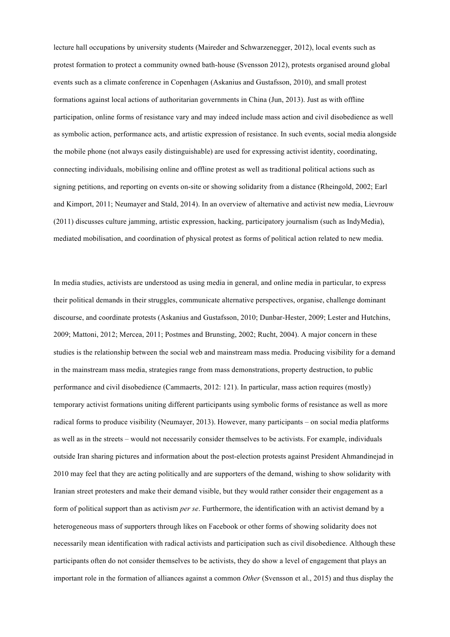lecture hall occupations by university students (Maireder and Schwarzenegger, 2012), local events such as protest formation to protect a community owned bath-house (Svensson 2012), protests organised around global events such as a climate conference in Copenhagen (Askanius and Gustafsson, 2010), and small protest formations against local actions of authoritarian governments in China (Jun, 2013). Just as with offline participation, online forms of resistance vary and may indeed include mass action and civil disobedience as well as symbolic action, performance acts, and artistic expression of resistance. In such events, social media alongside the mobile phone (not always easily distinguishable) are used for expressing activist identity, coordinating, connecting individuals, mobilising online and offline protest as well as traditional political actions such as signing petitions, and reporting on events on-site or showing solidarity from a distance (Rheingold, 2002; Earl and Kimport, 2011; Neumayer and Stald, 2014). In an overview of alternative and activist new media, Lievrouw (2011) discusses culture jamming, artistic expression, hacking, participatory journalism (such as IndyMedia), mediated mobilisation, and coordination of physical protest as forms of political action related to new media.

In media studies, activists are understood as using media in general, and online media in particular, to express their political demands in their struggles, communicate alternative perspectives, organise, challenge dominant discourse, and coordinate protests (Askanius and Gustafsson, 2010; Dunbar-Hester, 2009; Lester and Hutchins, 2009; Mattoni, 2012; Mercea, 2011; Postmes and Brunsting, 2002; Rucht, 2004). A major concern in these studies is the relationship between the social web and mainstream mass media. Producing visibility for a demand in the mainstream mass media, strategies range from mass demonstrations, property destruction, to public performance and civil disobedience (Cammaerts, 2012: 121). In particular, mass action requires (mostly) temporary activist formations uniting different participants using symbolic forms of resistance as well as more radical forms to produce visibility (Neumayer, 2013). However, many participants – on social media platforms as well as in the streets – would not necessarily consider themselves to be activists. For example, individuals outside Iran sharing pictures and information about the post-election protests against President Ahmandinejad in 2010 may feel that they are acting politically and are supporters of the demand, wishing to show solidarity with Iranian street protesters and make their demand visible, but they would rather consider their engagement as a form of political support than as activism *per se*. Furthermore, the identification with an activist demand by a heterogeneous mass of supporters through likes on Facebook or other forms of showing solidarity does not necessarily mean identification with radical activists and participation such as civil disobedience. Although these participants often do not consider themselves to be activists, they do show a level of engagement that plays an important role in the formation of alliances against a common *Other* (Svensson et al., 2015) and thus display the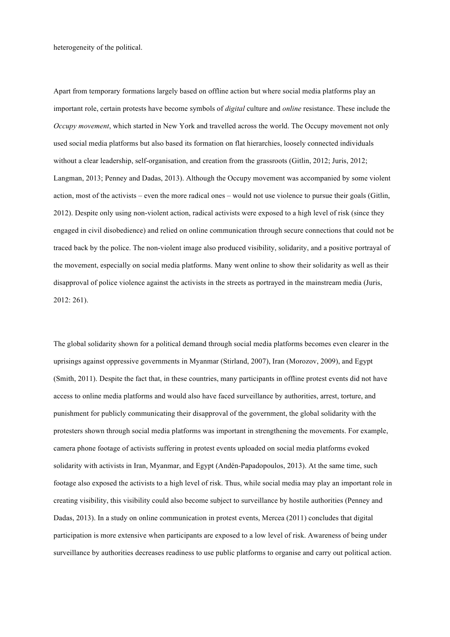heterogeneity of the political.

Apart from temporary formations largely based on offline action but where social media platforms play an important role, certain protests have become symbols of *digital* culture and *online* resistance. These include the *Occupy movement*, which started in New York and travelled across the world. The Occupy movement not only used social media platforms but also based its formation on flat hierarchies, loosely connected individuals without a clear leadership, self-organisation, and creation from the grassroots (Gitlin, 2012; Juris, 2012; Langman, 2013; Penney and Dadas, 2013). Although the Occupy movement was accompanied by some violent action, most of the activists – even the more radical ones – would not use violence to pursue their goals (Gitlin, 2012). Despite only using non-violent action, radical activists were exposed to a high level of risk (since they engaged in civil disobedience) and relied on online communication through secure connections that could not be traced back by the police. The non-violent image also produced visibility, solidarity, and a positive portrayal of the movement, especially on social media platforms. Many went online to show their solidarity as well as their disapproval of police violence against the activists in the streets as portrayed in the mainstream media (Juris, 2012: 261).

The global solidarity shown for a political demand through social media platforms becomes even clearer in the uprisings against oppressive governments in Myanmar (Stirland, 2007), Iran (Morozov, 2009), and Egypt (Smith, 2011). Despite the fact that, in these countries, many participants in offline protest events did not have access to online media platforms and would also have faced surveillance by authorities, arrest, torture, and punishment for publicly communicating their disapproval of the government, the global solidarity with the protesters shown through social media platforms was important in strengthening the movements. For example, camera phone footage of activists suffering in protest events uploaded on social media platforms evoked solidarity with activists in Iran, Myanmar, and Egypt (Andén-Papadopoulos, 2013). At the same time, such footage also exposed the activists to a high level of risk. Thus, while social media may play an important role in creating visibility, this visibility could also become subject to surveillance by hostile authorities (Penney and Dadas, 2013). In a study on online communication in protest events, Mercea (2011) concludes that digital participation is more extensive when participants are exposed to a low level of risk. Awareness of being under surveillance by authorities decreases readiness to use public platforms to organise and carry out political action.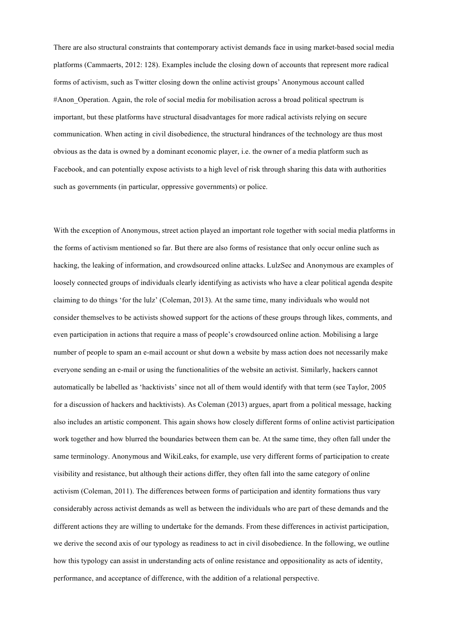There are also structural constraints that contemporary activist demands face in using market-based social media platforms (Cammaerts, 2012: 128). Examples include the closing down of accounts that represent more radical forms of activism, such as Twitter closing down the online activist groups' Anonymous account called #Anon Operation. Again, the role of social media for mobilisation across a broad political spectrum is important, but these platforms have structural disadvantages for more radical activists relying on secure communication. When acting in civil disobedience, the structural hindrances of the technology are thus most obvious as the data is owned by a dominant economic player, i.e. the owner of a media platform such as Facebook, and can potentially expose activists to a high level of risk through sharing this data with authorities such as governments (in particular, oppressive governments) or police.

With the exception of Anonymous, street action played an important role together with social media platforms in the forms of activism mentioned so far. But there are also forms of resistance that only occur online such as hacking, the leaking of information, and crowdsourced online attacks. LulzSec and Anonymous are examples of loosely connected groups of individuals clearly identifying as activists who have a clear political agenda despite claiming to do things 'for the lulz' (Coleman, 2013). At the same time, many individuals who would not consider themselves to be activists showed support for the actions of these groups through likes, comments, and even participation in actions that require a mass of people's crowdsourced online action. Mobilising a large number of people to spam an e-mail account or shut down a website by mass action does not necessarily make everyone sending an e-mail or using the functionalities of the website an activist. Similarly, hackers cannot automatically be labelled as 'hacktivists' since not all of them would identify with that term (see Taylor, 2005 for a discussion of hackers and hacktivists). As Coleman (2013) argues, apart from a political message, hacking also includes an artistic component. This again shows how closely different forms of online activist participation work together and how blurred the boundaries between them can be. At the same time, they often fall under the same terminology. Anonymous and WikiLeaks, for example, use very different forms of participation to create visibility and resistance, but although their actions differ, they often fall into the same category of online activism (Coleman, 2011). The differences between forms of participation and identity formations thus vary considerably across activist demands as well as between the individuals who are part of these demands and the different actions they are willing to undertake for the demands. From these differences in activist participation, we derive the second axis of our typology as readiness to act in civil disobedience. In the following, we outline how this typology can assist in understanding acts of online resistance and oppositionality as acts of identity, performance, and acceptance of difference, with the addition of a relational perspective.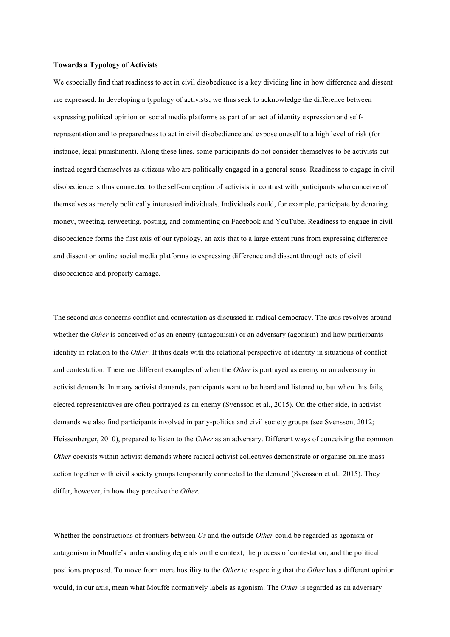#### **Towards a Typology of Activists**

We especially find that readiness to act in civil disobedience is a key dividing line in how difference and dissent are expressed. In developing a typology of activists, we thus seek to acknowledge the difference between expressing political opinion on social media platforms as part of an act of identity expression and selfrepresentation and to preparedness to act in civil disobedience and expose oneself to a high level of risk (for instance, legal punishment). Along these lines, some participants do not consider themselves to be activists but instead regard themselves as citizens who are politically engaged in a general sense. Readiness to engage in civil disobedience is thus connected to the self-conception of activists in contrast with participants who conceive of themselves as merely politically interested individuals. Individuals could, for example, participate by donating money, tweeting, retweeting, posting, and commenting on Facebook and YouTube. Readiness to engage in civil disobedience forms the first axis of our typology, an axis that to a large extent runs from expressing difference and dissent on online social media platforms to expressing difference and dissent through acts of civil disobedience and property damage.

The second axis concerns conflict and contestation as discussed in radical democracy. The axis revolves around whether the *Other* is conceived of as an enemy (antagonism) or an adversary (agonism) and how participants identify in relation to the *Other*. It thus deals with the relational perspective of identity in situations of conflict and contestation. There are different examples of when the *Other* is portrayed as enemy or an adversary in activist demands. In many activist demands, participants want to be heard and listened to, but when this fails, elected representatives are often portrayed as an enemy (Svensson et al., 2015). On the other side, in activist demands we also find participants involved in party-politics and civil society groups (see Svensson, 2012; Heissenberger, 2010), prepared to listen to the *Other* as an adversary. Different ways of conceiving the common *Other* coexists within activist demands where radical activist collectives demonstrate or organise online mass action together with civil society groups temporarily connected to the demand (Svensson et al., 2015). They differ, however, in how they perceive the *Other*.

Whether the constructions of frontiers between *Us* and the outside *Other* could be regarded as agonism or antagonism in Mouffe's understanding depends on the context, the process of contestation, and the political positions proposed. To move from mere hostility to the *Other* to respecting that the *Other* has a different opinion would, in our axis, mean what Mouffe normatively labels as agonism. The *Other* is regarded as an adversary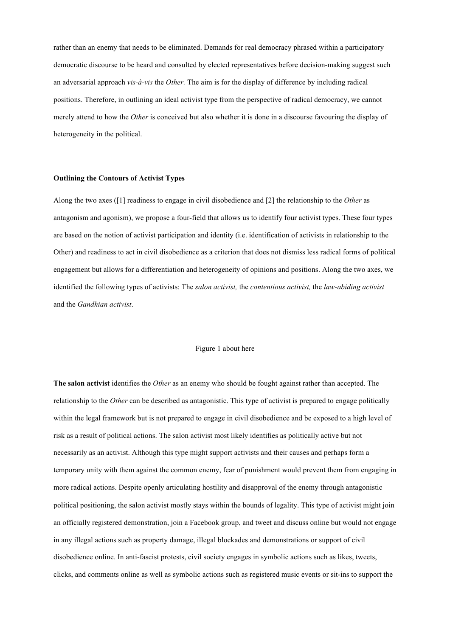rather than an enemy that needs to be eliminated. Demands for real democracy phrased within a participatory democratic discourse to be heard and consulted by elected representatives before decision-making suggest such an adversarial approach *vis-à-vis* the *Other.* The aim is for the display of difference by including radical positions. Therefore, in outlining an ideal activist type from the perspective of radical democracy, we cannot merely attend to how the *Other* is conceived but also whether it is done in a discourse favouring the display of heterogeneity in the political.

#### **Outlining the Contours of Activist Types**

Along the two axes ([1] readiness to engage in civil disobedience and [2] the relationship to the *Other* as antagonism and agonism), we propose a four-field that allows us to identify four activist types. These four types are based on the notion of activist participation and identity (i.e. identification of activists in relationship to the Other) and readiness to act in civil disobedience as a criterion that does not dismiss less radical forms of political engagement but allows for a differentiation and heterogeneity of opinions and positions. Along the two axes, we identified the following types of activists: The *salon activist,* the *contentious activist,* the *law-abiding activist*  and the *Gandhian activist*.

#### Figure 1 about here

**The salon activist** identifies the *Other* as an enemy who should be fought against rather than accepted. The relationship to the *Other* can be described as antagonistic. This type of activist is prepared to engage politically within the legal framework but is not prepared to engage in civil disobedience and be exposed to a high level of risk as a result of political actions. The salon activist most likely identifies as politically active but not necessarily as an activist. Although this type might support activists and their causes and perhaps form a temporary unity with them against the common enemy, fear of punishment would prevent them from engaging in more radical actions. Despite openly articulating hostility and disapproval of the enemy through antagonistic political positioning, the salon activist mostly stays within the bounds of legality. This type of activist might join an officially registered demonstration, join a Facebook group, and tweet and discuss online but would not engage in any illegal actions such as property damage, illegal blockades and demonstrations or support of civil disobedience online. In anti-fascist protests, civil society engages in symbolic actions such as likes, tweets, clicks, and comments online as well as symbolic actions such as registered music events or sit-ins to support the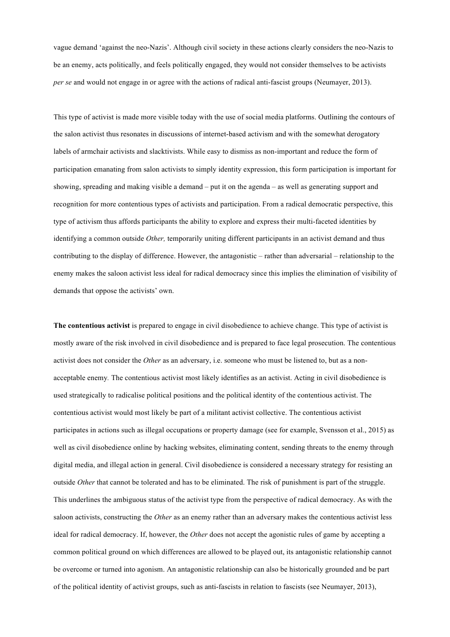vague demand 'against the neo-Nazis'. Although civil society in these actions clearly considers the neo-Nazis to be an enemy, acts politically, and feels politically engaged, they would not consider themselves to be activists *per se* and would not engage in or agree with the actions of radical anti-fascist groups (Neumayer, 2013).

This type of activist is made more visible today with the use of social media platforms. Outlining the contours of the salon activist thus resonates in discussions of internet-based activism and with the somewhat derogatory labels of armchair activists and slacktivists. While easy to dismiss as non-important and reduce the form of participation emanating from salon activists to simply identity expression, this form participation is important for showing, spreading and making visible a demand – put it on the agenda – as well as generating support and recognition for more contentious types of activists and participation. From a radical democratic perspective, this type of activism thus affords participants the ability to explore and express their multi-faceted identities by identifying a common outside *Other,* temporarily uniting different participants in an activist demand and thus contributing to the display of difference. However, the antagonistic – rather than adversarial – relationship to the enemy makes the saloon activist less ideal for radical democracy since this implies the elimination of visibility of demands that oppose the activists' own.

**The contentious activist** is prepared to engage in civil disobedience to achieve change. This type of activist is mostly aware of the risk involved in civil disobedience and is prepared to face legal prosecution. The contentious activist does not consider the *Other* as an adversary, i.e. someone who must be listened to, but as a nonacceptable enemy*.* The contentious activist most likely identifies as an activist. Acting in civil disobedience is used strategically to radicalise political positions and the political identity of the contentious activist. The contentious activist would most likely be part of a militant activist collective. The contentious activist participates in actions such as illegal occupations or property damage (see for example, Svensson et al., 2015) as well as civil disobedience online by hacking websites, eliminating content, sending threats to the enemy through digital media, and illegal action in general. Civil disobedience is considered a necessary strategy for resisting an outside *Other* that cannot be tolerated and has to be eliminated. The risk of punishment is part of the struggle. This underlines the ambiguous status of the activist type from the perspective of radical democracy. As with the saloon activists, constructing the *Other* as an enemy rather than an adversary makes the contentious activist less ideal for radical democracy. If, however, the *Other* does not accept the agonistic rules of game by accepting a common political ground on which differences are allowed to be played out, its antagonistic relationship cannot be overcome or turned into agonism. An antagonistic relationship can also be historically grounded and be part of the political identity of activist groups, such as anti-fascists in relation to fascists (see Neumayer, 2013),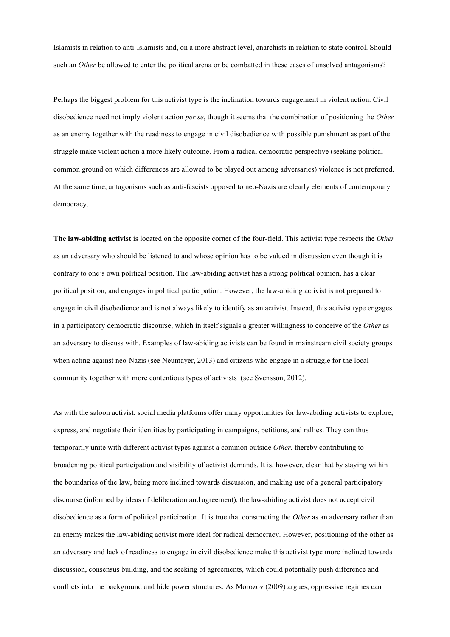Islamists in relation to anti-Islamists and, on a more abstract level, anarchists in relation to state control. Should such an *Other* be allowed to enter the political arena or be combatted in these cases of unsolved antagonisms?

Perhaps the biggest problem for this activist type is the inclination towards engagement in violent action. Civil disobedience need not imply violent action *per se*, though it seems that the combination of positioning the *Other*  as an enemy together with the readiness to engage in civil disobedience with possible punishment as part of the struggle make violent action a more likely outcome. From a radical democratic perspective (seeking political common ground on which differences are allowed to be played out among adversaries) violence is not preferred. At the same time, antagonisms such as anti-fascists opposed to neo-Nazis are clearly elements of contemporary democracy.

**The law-abiding activist** is located on the opposite corner of the four-field. This activist type respects the *Other* as an adversary who should be listened to and whose opinion has to be valued in discussion even though it is contrary to one's own political position. The law-abiding activist has a strong political opinion, has a clear political position, and engages in political participation. However, the law-abiding activist is not prepared to engage in civil disobedience and is not always likely to identify as an activist. Instead, this activist type engages in a participatory democratic discourse, which in itself signals a greater willingness to conceive of the *Other* as an adversary to discuss with. Examples of law-abiding activists can be found in mainstream civil society groups when acting against neo-Nazis (see Neumayer, 2013) and citizens who engage in a struggle for the local community together with more contentious types of activists (see Svensson, 2012).

As with the saloon activist, social media platforms offer many opportunities for law-abiding activists to explore, express, and negotiate their identities by participating in campaigns, petitions, and rallies. They can thus temporarily unite with different activist types against a common outside *Other*, thereby contributing to broadening political participation and visibility of activist demands. It is, however, clear that by staying within the boundaries of the law, being more inclined towards discussion, and making use of a general participatory discourse (informed by ideas of deliberation and agreement), the law-abiding activist does not accept civil disobedience as a form of political participation. It is true that constructing the *Other* as an adversary rather than an enemy makes the law-abiding activist more ideal for radical democracy. However, positioning of the other as an adversary and lack of readiness to engage in civil disobedience make this activist type more inclined towards discussion, consensus building, and the seeking of agreements, which could potentially push difference and conflicts into the background and hide power structures. As Morozov (2009) argues, oppressive regimes can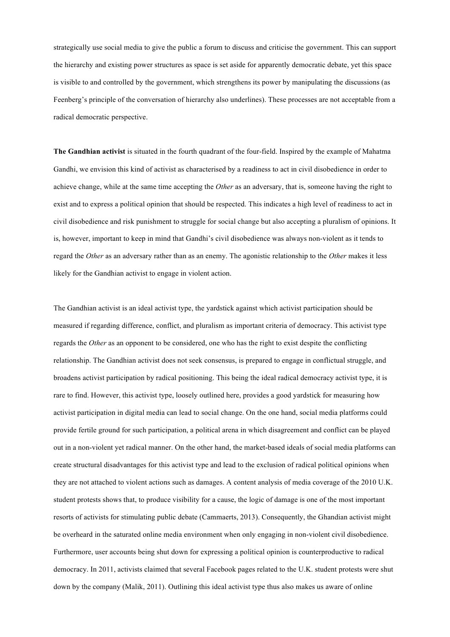strategically use social media to give the public a forum to discuss and criticise the government. This can support the hierarchy and existing power structures as space is set aside for apparently democratic debate, yet this space is visible to and controlled by the government, which strengthens its power by manipulating the discussions (as Feenberg's principle of the conversation of hierarchy also underlines). These processes are not acceptable from a radical democratic perspective.

**The Gandhian activist** is situated in the fourth quadrant of the four-field. Inspired by the example of Mahatma Gandhi, we envision this kind of activist as characterised by a readiness to act in civil disobedience in order to achieve change, while at the same time accepting the *Other* as an adversary, that is, someone having the right to exist and to express a political opinion that should be respected. This indicates a high level of readiness to act in civil disobedience and risk punishment to struggle for social change but also accepting a pluralism of opinions. It is, however, important to keep in mind that Gandhi's civil disobedience was always non-violent as it tends to regard the *Other* as an adversary rather than as an enemy. The agonistic relationship to the *Other* makes it less likely for the Gandhian activist to engage in violent action.

The Gandhian activist is an ideal activist type, the yardstick against which activist participation should be measured if regarding difference, conflict, and pluralism as important criteria of democracy. This activist type regards the *Other* as an opponent to be considered, one who has the right to exist despite the conflicting relationship. The Gandhian activist does not seek consensus, is prepared to engage in conflictual struggle, and broadens activist participation by radical positioning. This being the ideal radical democracy activist type, it is rare to find. However, this activist type, loosely outlined here, provides a good yardstick for measuring how activist participation in digital media can lead to social change. On the one hand, social media platforms could provide fertile ground for such participation, a political arena in which disagreement and conflict can be played out in a non-violent yet radical manner. On the other hand, the market-based ideals of social media platforms can create structural disadvantages for this activist type and lead to the exclusion of radical political opinions when they are not attached to violent actions such as damages. A content analysis of media coverage of the 2010 U.K. student protests shows that, to produce visibility for a cause, the logic of damage is one of the most important resorts of activists for stimulating public debate (Cammaerts, 2013). Consequently, the Ghandian activist might be overheard in the saturated online media environment when only engaging in non-violent civil disobedience. Furthermore, user accounts being shut down for expressing a political opinion is counterproductive to radical democracy. In 2011, activists claimed that several Facebook pages related to the U.K. student protests were shut down by the company (Malik, 2011). Outlining this ideal activist type thus also makes us aware of online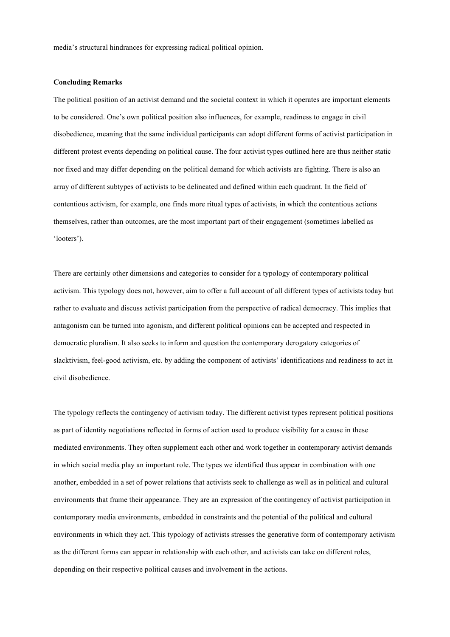media's structural hindrances for expressing radical political opinion.

#### **Concluding Remarks**

The political position of an activist demand and the societal context in which it operates are important elements to be considered. One's own political position also influences, for example, readiness to engage in civil disobedience, meaning that the same individual participants can adopt different forms of activist participation in different protest events depending on political cause. The four activist types outlined here are thus neither static nor fixed and may differ depending on the political demand for which activists are fighting. There is also an array of different subtypes of activists to be delineated and defined within each quadrant. In the field of contentious activism, for example, one finds more ritual types of activists, in which the contentious actions themselves, rather than outcomes, are the most important part of their engagement (sometimes labelled as 'looters').

There are certainly other dimensions and categories to consider for a typology of contemporary political activism. This typology does not, however, aim to offer a full account of all different types of activists today but rather to evaluate and discuss activist participation from the perspective of radical democracy. This implies that antagonism can be turned into agonism, and different political opinions can be accepted and respected in democratic pluralism. It also seeks to inform and question the contemporary derogatory categories of slacktivism, feel-good activism, etc. by adding the component of activists' identifications and readiness to act in civil disobedience.

The typology reflects the contingency of activism today. The different activist types represent political positions as part of identity negotiations reflected in forms of action used to produce visibility for a cause in these mediated environments. They often supplement each other and work together in contemporary activist demands in which social media play an important role. The types we identified thus appear in combination with one another, embedded in a set of power relations that activists seek to challenge as well as in political and cultural environments that frame their appearance. They are an expression of the contingency of activist participation in contemporary media environments, embedded in constraints and the potential of the political and cultural environments in which they act. This typology of activists stresses the generative form of contemporary activism as the different forms can appear in relationship with each other, and activists can take on different roles, depending on their respective political causes and involvement in the actions.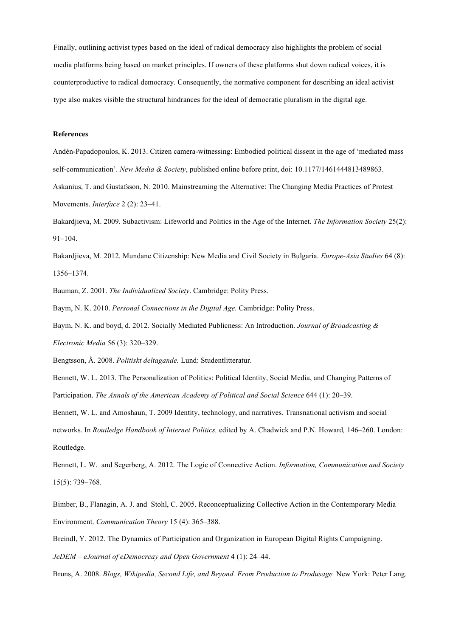Finally, outlining activist types based on the ideal of radical democracy also highlights the problem of social media platforms being based on market principles. If owners of these platforms shut down radical voices, it is counterproductive to radical democracy. Consequently, the normative component for describing an ideal activist type also makes visible the structural hindrances for the ideal of democratic pluralism in the digital age.

#### **References**

Andén-Papadopoulos, K. 2013. Citizen camera-witnessing: Embodied political dissent in the age of 'mediated mass self-communication'. *New Media & Society*, published online before print, doi: 10.1177/1461444813489863. Askanius, T. and Gustafsson, N. 2010. Mainstreaming the Alternative: The Changing Media Practices of Protest

Movements. *Interface* 2 (2): 23–41.

Bakardjieva, M. 2009. Subactivism: Lifeworld and Politics in the Age of the Internet. *The Information Society* 25(2): 91–104.

Bakardjieva, M. 2012. Mundane Citizenship: New Media and Civil Society in Bulgaria. *Europe-Asia Studies* 64 (8): 1356–1374.

Bauman, Z. 2001. *The Individualized Society*. Cambridge: Polity Press.

Baym, N. K. 2010. *Personal Connections in the Digital Age.* Cambridge: Polity Press.

Baym, N. K. and boyd, d. 2012. Socially Mediated Publicness: An Introduction. *Journal of Broadcasting & Electronic Media* 56 (3): 320–329.

Bengtsson, Å. 2008. *Politiskt deltagande.* Lund: Studentlitteratur.

Bennett, W. L. 2013. The Personalization of Politics: Political Identity, Social Media, and Changing Patterns of Participation. *The Annals of the American Academy of Political and Social Science* 644 (1): 20–39.

Bennett, W. L. and Amoshaun, T. 2009 Identity, technology, and narratives. Transnational activism and social networks. In *Routledge Handbook of Internet Politics,* edited by A. Chadwick and P.N. Howard*,* 146–260. London: Routledge.

Bennett, L. W. and Segerberg, A. 2012. The Logic of Connective Action. *Information, Communication and Society*  15(5): 739–768.

Bimber, B., Flanagin, A. J. and Stohl, C. 2005. Reconceptualizing Collective Action in the Contemporary Media Environment. *Communication Theory* 15 (4): 365–388.

Breindl, Y. 2012. The Dynamics of Participation and Organization in European Digital Rights Campaigning. *JeDEM – eJournal of eDemocrcay and Open Government* 4 (1): 24–44.

Bruns, A. 2008. *Blogs, Wikipedia, Second Life, and Beyond. From Production to Produsage.* New York: Peter Lang.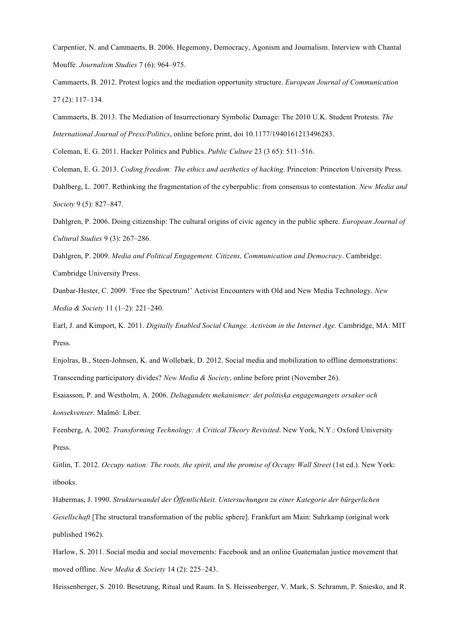Carpentier, N. and Cammaerts, B. 2006. Hegemony, Democracy, Agonism and Journalism. Interview with Chantal Mouffe. *Journalism Studies* 7 (6): 964–975.

Cammaerts, B. 2012. Protest logics and the mediation opportunity structure. *European Journal of Communication* 27 (2): 117–134.

Cammaerts, B. 2013. The Mediation of Insurrectionary Symbolic Damage: The 2010 U.K. Student Protests. *The International Journal of Press/Politics*, online before print, doi 10.1177/1940161213496283.

Coleman, E. G. 2011. Hacker Politics and Publics. *Public Culture* 23 (3 65): 511–516.

Coleman, E. G. 2013. *Coding freedom: The ethics and aesthetics of hacking*. Princeton: Princeton University Press.

Dahlberg, L. 2007. Rethinking the fragmentation of the cyberpublic: from consensus to contestation. *New Media and Society* 9 (5): 827–847.

Dahlgren, P. 2006. Doing citizenship: The cultural origins of civic agency in the public sphere. *European Journal of Cultural Studies* 9 (3): 267–286.

Dahlgren, P. 2009. *Media and Political Engagement. Citizens, Communication and Democracy*. Cambridge: Cambridge University Press.

Dunbar-Hester, C. 2009. 'Free the Spectrum!' Activist Encounters with Old and New Media Technology. *New Media & Society* 11 (1–2): 221–240.

Earl, J. and Kimport, K. 2011. *Digitally Enabled Social Change. Activism in the Internet Age.* Cambridge, MA: MIT Press.

Enjolras, B., Steen-Johnsen, K. and Wollebæk, D. 2012. Social media and mobilization to offline demonstrations: Transcending participatory divides? *New Media & Society*, online before print (November 26).

Esaiasson, P. and Westholm, A. 2006. *Deltagandets mekanismer: det politiska engagemangets orsaker och konsekvenser.* Malmö: Liber.

Feenberg, A. 2002. *Transforming Technology: A Critical Theory Revisited*. New York, N.Y.: Oxford University Press.

Gitlin, T. 2012. *Occupy nation: The roots, the spirit, and the promise of Occupy Wall Street* (1st ed.). New York: itbooks.

Habermas, J. 1990. *Strukturwandel der Öffentlichkeit. Untersuchungen zu einer Kategorie der bürgerlichen Gesellschaft* [The structural transformation of the public sphere]. Frankfurt am Main: Suhrkamp (original work published 1962).

Harlow, S. 2011. Social media and social movements: Facebook and an online Guatemalan justice movement that moved offline. *New Media & Society* 14 (2): 225–243.

Heissenberger, S. 2010. Besetzung, Ritual und Raum. In S. Heissenberger, V. Mark, S. Schramm, P. Sniesko, and R.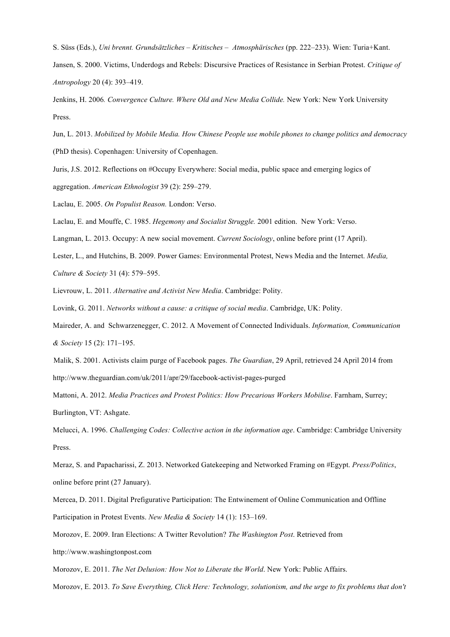S. Süss (Eds.), *Uni brennt. Grundsätzliches – Kritisches – Atmosphärisches* (pp. 222–233). Wien: Turia+Kant. Jansen, S. 2000. Victims, Underdogs and Rebels: Discursive Practices of Resistance in Serbian Protest. *Critique of Antropology* 20 (4): 393–419.

Jenkins, H. 2006*. Convergence Culture. Where Old and New Media Collide.* New York: New York University Press.

Jun, L. 2013. *Mobilized by Mobile Media. How Chinese People use mobile phones to change politics and democracy* (PhD thesis). Copenhagen: University of Copenhagen.

Juris, J.S. 2012. Reflections on #Occupy Everywhere: Social media, public space and emerging logics of aggregation. *American Ethnologist* 39 (2): 259–279.

Laclau, E. 2005. *On Populist Reason.* London: Verso.

Laclau, E. and Mouffe, C. 1985. *Hegemony and Socialist Struggle.* 2001 edition. New York: Verso.

Langman, L. 2013. Occupy: A new social movement. *Current Sociology*, online before print (17 April).

Lester, L., and Hutchins, B. 2009. Power Games: Environmental Protest, News Media and the Internet. *Media,* 

*Culture & Society* 31 (4): 579–595.

Lievrouw, L. 2011. *Alternative and Activist New Media*. Cambridge: Polity.

Lovink, G. 2011. *Networks without a cause: a critique of social media*. Cambridge, UK: Polity.

Maireder, A. and Schwarzenegger, C. 2012. A Movement of Connected Individuals. *Information, Communication & Society* 15 (2): 171–195.

Malik, S. 2001. Activists claim purge of Facebook pages. *The Guardian*, 29 April, retrieved 24 April 2014 from http://www.theguardian.com/uk/2011/apr/29/facebook-activist-pages-purged

Mattoni, A. 2012. *Media Practices and Protest Politics: How Precarious Workers Mobilise*. Farnham, Surrey; Burlington, VT: Ashgate.

Melucci, A. 1996. *Challenging Codes: Collective action in the information age*. Cambridge: Cambridge University Press.

Meraz, S. and Papacharissi, Z. 2013. Networked Gatekeeping and Networked Framing on #Egypt. *Press/Politics*, online before print (27 January).

Mercea, D. 2011. Digital Prefigurative Participation: The Entwinement of Online Communication and Offline Participation in Protest Events. *New Media & Society* 14 (1): 153–169.

Morozov, E. 2009. Iran Elections: A Twitter Revolution? *The Washington Post*. Retrieved from

http://www.washingtonpost.com

Morozov, E. 2011. *The Net Delusion: How Not to Liberate the World*. New York: Public Affairs.

Morozov, E. 2013. *To Save Everything, Click Here: Technology, solutionism, and the urge to fix problems that don't*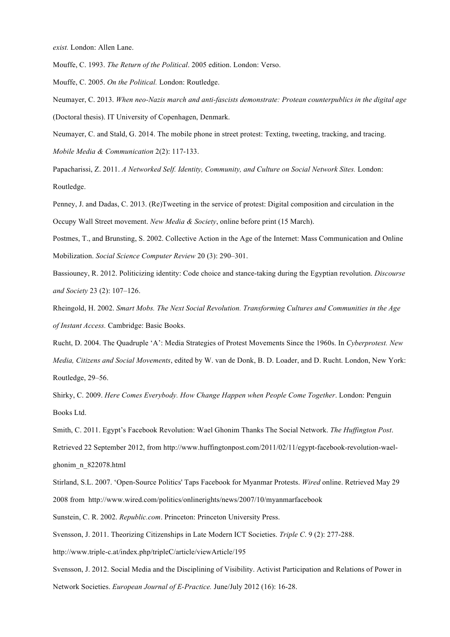*exist.* London: Allen Lane.

Mouffe, C. 1993. *The Return of the Political*. 2005 edition. London: Verso.

Mouffe, C. 2005. *On the Political.* London: Routledge.

Neumayer, C. 2013. *When neo-Nazis march and anti-fascists demonstrate: Protean counterpublics in the digital age* (Doctoral thesis). IT University of Copenhagen, Denmark.

Neumayer, C. and Stald, G. 2014. The mobile phone in street protest: Texting, tweeting, tracking, and tracing.

*Mobile Media & Communication* 2(2): 117-133.

Papacharissi, Z. 2011. *A Networked Self. Identity, Community, and Culture on Social Network Sites.* London: Routledge.

Penney, J. and Dadas, C. 2013. (Re)Tweeting in the service of protest: Digital composition and circulation in the Occupy Wall Street movement. *New Media & Society*, online before print (15 March).

Postmes, T., and Brunsting, S. 2002. Collective Action in the Age of the Internet: Mass Communication and Online Mobilization. *Social Science Computer Review* 20 (3): 290–301.

Bassiouney, R. 2012. Politicizing identity: Code choice and stance-taking during the Egyptian revolution. *Discourse and Society* 23 (2): 107–126.

Rheingold, H. 2002. *Smart Mobs. The Next Social Revolution. Transforming Cultures and Communities in the Age of Instant Access.* Cambridge: Basic Books.

Rucht, D. 2004. The Quadruple 'A': Media Strategies of Protest Movements Since the 1960s. In *Cyberprotest. New Media, Citizens and Social Movements*, edited by W. van de Donk, B. D. Loader, and D. Rucht. London, New York: Routledge, 29–56.

Shirky, C. 2009. *Here Comes Everybody. How Change Happen when People Come Together*. London: Penguin Books Ltd.

Smith, C. 2011. Egypt's Facebook Revolution: Wael Ghonim Thanks The Social Network. *The Huffington Post*.

Retrieved 22 September 2012, from http://www.huffingtonpost.com/2011/02/11/egypt-facebook-revolution-waelghonim\_n\_822078.html

Stirland, S.L. 2007. 'Open-Source Politics' Taps Facebook for Myanmar Protests. *Wired* online. Retrieved May 29 2008 from http://www.wired.com/politics/onlinerights/news/2007/10/myanmarfacebook

Sunstein, C. R. 2002. *Republic.com*. Princeton: Princeton University Press.

Svensson, J. 2011. Theorizing Citizenships in Late Modern ICT Societies. *Triple C*. 9 (2): 277-288.

http://www.triple-c.at/index.php/tripleC/article/viewArticle/195

Svensson, J. 2012. Social Media and the Disciplining of Visibility. Activist Participation and Relations of Power in Network Societies. *European Journal of E-Practice.* June/July 2012 (16): 16-28.